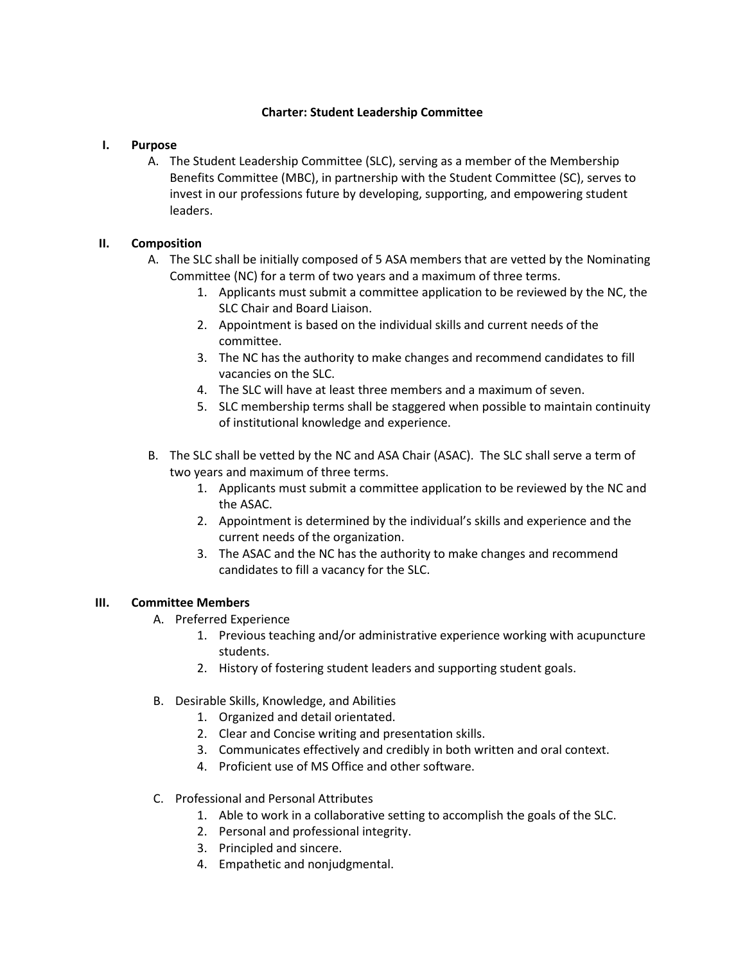# **Charter: Student Leadership Committee**

### **I. Purpose**

A. The Student Leadership Committee (SLC), serving as a member of the Membership Benefits Committee (MBC), in partnership with the Student Committee (SC), serves to invest in our professions future by developing, supporting, and empowering student leaders.

# **II. Composition**

- A. The SLC shall be initially composed of 5 ASA members that are vetted by the Nominating Committee (NC) for a term of two years and a maximum of three terms.
	- 1. Applicants must submit a committee application to be reviewed by the NC, the SLC Chair and Board Liaison.
	- 2. Appointment is based on the individual skills and current needs of the committee.
	- 3. The NC has the authority to make changes and recommend candidates to fill vacancies on the SLC.
	- 4. The SLC will have at least three members and a maximum of seven.
	- 5. SLC membership terms shall be staggered when possible to maintain continuity of institutional knowledge and experience.
- B. The SLC shall be vetted by the NC and ASA Chair (ASAC). The SLC shall serve a term of two years and maximum of three terms.
	- 1. Applicants must submit a committee application to be reviewed by the NC and the ASAC.
	- 2. Appointment is determined by the individual's skills and experience and the current needs of the organization.
	- 3. The ASAC and the NC has the authority to make changes and recommend candidates to fill a vacancy for the SLC.

## **III. Committee Members**

- A. Preferred Experience
	- 1. Previous teaching and/or administrative experience working with acupuncture students.
	- 2. History of fostering student leaders and supporting student goals.
- B. Desirable Skills, Knowledge, and Abilities
	- 1. Organized and detail orientated.
	- 2. Clear and Concise writing and presentation skills.
	- 3. Communicates effectively and credibly in both written and oral context.
	- 4. Proficient use of MS Office and other software.
- C. Professional and Personal Attributes
	- 1. Able to work in a collaborative setting to accomplish the goals of the SLC.
	- 2. Personal and professional integrity.
	- 3. Principled and sincere.
	- 4. Empathetic and nonjudgmental.